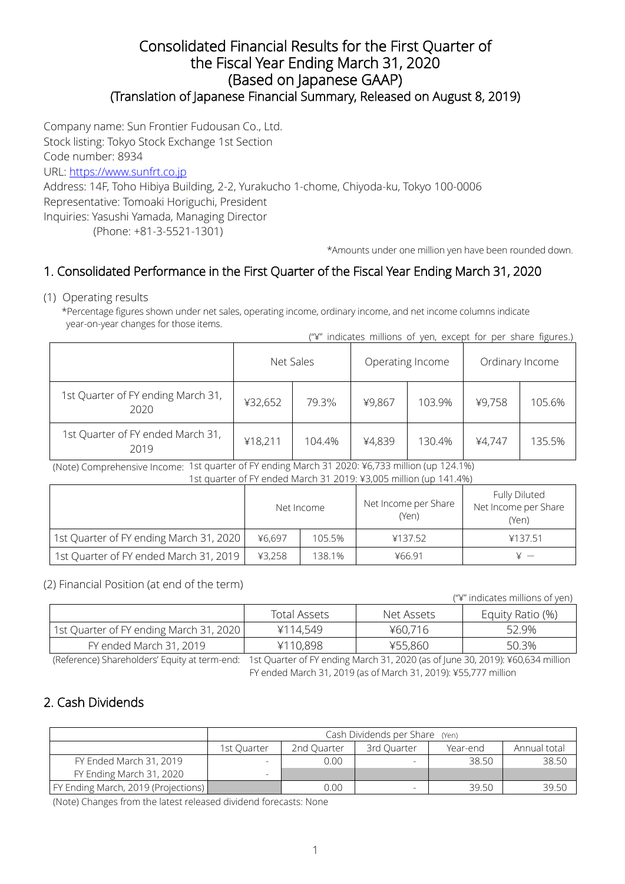### Consolidated Financial Results for the First Quarter of the Fiscal Year Ending March 31, 2020 (Based on Japanese GAAP) (Translation of Japanese Financial Summary, Released on August 8, 2019)

Company name: Sun Frontier Fudousan Co., Ltd.

Stock listing: Tokyo Stock Exchange 1st Section

Code number: 8934

URL: [https://www.sunfrt.co.jp](https://www.sunfrt.co.jp/)

Address: 14F, Toho Hibiya Building, 2-2, Yurakucho 1-chome, Chiyoda-ku, Tokyo 100-0006 Representative: Tomoaki Horiguchi, President Inquiries: Yasushi Yamada, Managing Director

(Phone: +81-3-5521-1301)

\*Amounts under one million yen have been rounded down.

# 1. Consolidated Performance in the First Quarter of the Fiscal Year Ending March 31, 2020

#### (1) Operating results

\*Percentage figures shown under net sales, operating income, ordinary income, and net income columns indicate year-on-year changes for those items.

| ("\" indicates millions of yen, except for per share figures.) |  |  |  |  |  |
|----------------------------------------------------------------|--|--|--|--|--|
|                                                                |  |  |  |  |  |

|                                            | Net Sales        |        |        | Operating Income | Ordinary Income |        |
|--------------------------------------------|------------------|--------|--------|------------------|-----------------|--------|
| 1st Quarter of FY ending March 31,<br>2020 | 79.3%<br>¥32,652 |        | ¥9,867 | 103.9%           | ¥9,758          | 105.6% |
| 1st Quarter of FY ended March 31,<br>2019  | ¥18,211          | 104.4% | ¥4,839 | 130.4%           | ¥4,747          | 135.5% |

 (Note) Comprehensive Income: 1st quarter of FY ending March 31 2020: ¥6,733 million (up 124.1%) 1st quarter of FY ended March 31 2019: ¥3,005 million (up 141.4%)

|                                         | Net Income |        | Net Income per Share<br>(Yen) | Fully Diluted<br>Net Income per Share<br>(Yen) |  |  |  |  |
|-----------------------------------------|------------|--------|-------------------------------|------------------------------------------------|--|--|--|--|
| 1st Quarter of FY ending March 31, 2020 | ¥6.697     | 105.5% | ¥137.52                       | ¥137.51                                        |  |  |  |  |
| 1st Quarter of FY ended March 31, 2019  | ¥3,258     | 138.1% | ¥66.91                        |                                                |  |  |  |  |

#### (2) Financial Position (at end of the term)

("¥" indicates millions of yen)

|                                         | Total Assets | Net Assets | Equity Ratio (%) |
|-----------------------------------------|--------------|------------|------------------|
| 1st Quarter of FY ending March 31, 2020 | ¥114,549     | ¥60,716    | 52.9%            |
| FY ended March 31, 2019                 | ¥110,898     | ¥55,860    | 50.3%            |

(Reference) Shareholders' Equity at term-end: 1st Quarter of FY ending March 31, 2020 (as of June 30, 2019): ¥60,634 million FY ended March 31, 2019 (as of March 31, 2019): ¥55,777 million

# 2. Cash Dividends

|                                            | Cash Dividends per Share (Yen) |             |             |          |              |  |  |
|--------------------------------------------|--------------------------------|-------------|-------------|----------|--------------|--|--|
|                                            | 1st Ouarter                    | 2nd Ouarter | 3rd Ouarter | Year-end | Annual total |  |  |
| FY Ended March 31, 2019                    |                                | 0.00        |             | 38.50    | 38.50        |  |  |
| FY Ending March 31, 2020                   |                                |             |             |          |              |  |  |
| <b>FY Ending March, 2019 (Projections)</b> |                                | 0.00        |             | 39.50    | 39.50        |  |  |

(Note) Changes from the latest released dividend forecasts: None